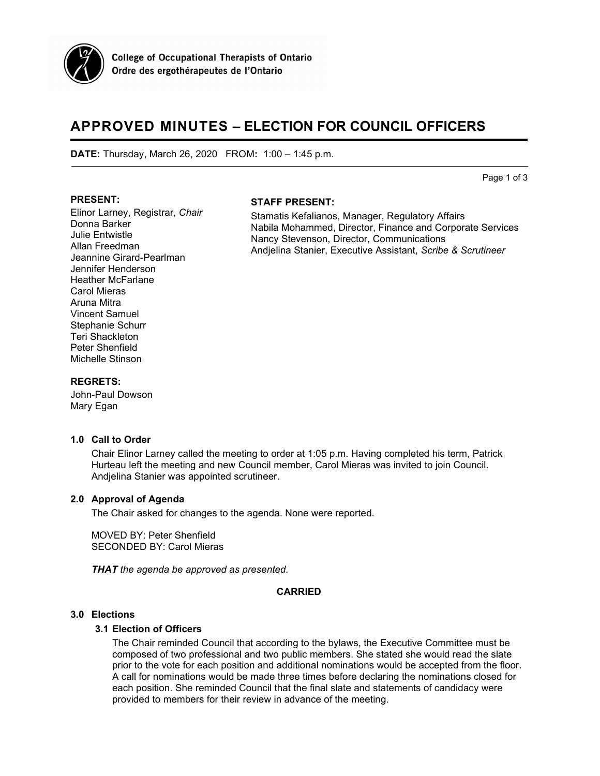

# **APPROVED MINUTES – ELECTION FOR COUNCIL OFFICERS**

**DATE:** Thursday, March 26, 2020 FROM**:** 1:00 – 1:45 p.m.

Page 1 of 3

#### **PRESENT:**

## **STAFF PRESENT:**

Elinor Larney, Registrar, *Chair* Donna Barker Julie Entwistle Allan Freedman Jeannine Girard-Pearlman Jennifer Henderson Heather McFarlane Carol Mieras Aruna Mitra Vincent Samuel Stephanie Schurr Teri Shackleton Peter Shenfield Michelle Stinson

Stamatis Kefalianos, Manager, Regulatory Affairs Nabila Mohammed, Director, Finance and Corporate Services Nancy Stevenson, Director, Communications Andjelina Stanier, Executive Assistant, *Scribe & Scrutineer*

#### **REGRETS:**

John-Paul Dowson Mary Egan

#### **1.0 Call to Order**

Chair Elinor Larney called the meeting to order at 1:05 p.m. Having completed his term, Patrick Hurteau left the meeting and new Council member, Carol Mieras was invited to join Council. Andjelina Stanier was appointed scrutineer.

## **2.0 Approval of Agenda**

The Chair asked for changes to the agenda. None were reported.

MOVED BY: Peter Shenfield SECONDED BY: Carol Mieras

*THAT the agenda be approved as presented.*

#### **CARRIED**

## **3.0 Elections**

#### **3.1 Election of Officers**

The Chair reminded Council that according to the bylaws, the Executive Committee must be composed of two professional and two public members. She stated she would read the slate prior to the vote for each position and additional nominations would be accepted from the floor. A call for nominations would be made three times before declaring the nominations closed for each position. She reminded Council that the final slate and statements of candidacy were provided to members for their review in advance of the meeting.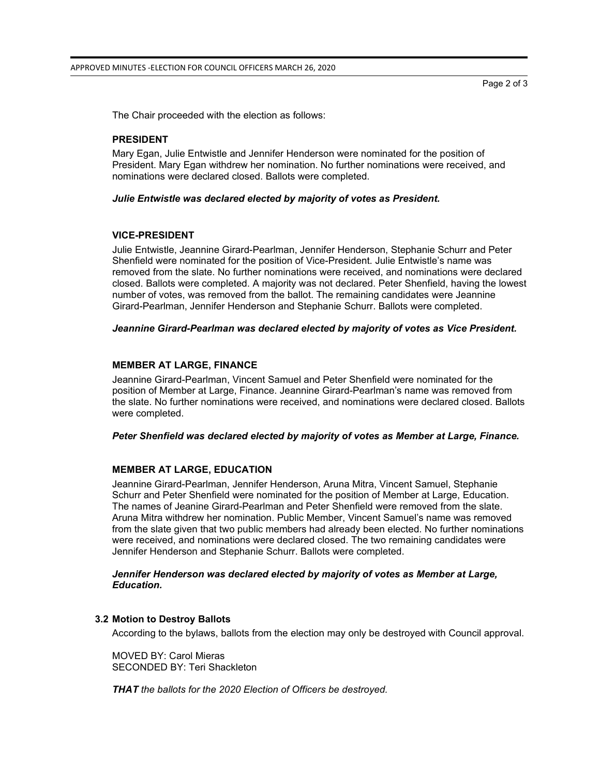Page 2 of 3

The Chair proceeded with the election as follows:

#### **PRESIDENT**

Mary Egan, Julie Entwistle and Jennifer Henderson were nominated for the position of President. Mary Egan withdrew her nomination. No further nominations were received, and nominations were declared closed. Ballots were completed.

#### *Julie Entwistle was declared elected by majority of votes as President.*

#### **VICE-PRESIDENT**

Julie Entwistle, Jeannine Girard-Pearlman, Jennifer Henderson, Stephanie Schurr and Peter Shenfield were nominated for the position of Vice-President. Julie Entwistle's name was removed from the slate. No further nominations were received, and nominations were declared closed. Ballots were completed. A majority was not declared. Peter Shenfield, having the lowest number of votes, was removed from the ballot. The remaining candidates were Jeannine Girard-Pearlman, Jennifer Henderson and Stephanie Schurr. Ballots were completed.

*Jeannine Girard-Pearlman was declared elected by majority of votes as Vice President.*

#### **MEMBER AT LARGE, FINANCE**

Jeannine Girard-Pearlman, Vincent Samuel and Peter Shenfield were nominated for the position of Member at Large, Finance. Jeannine Girard-Pearlman's name was removed from the slate. No further nominations were received, and nominations were declared closed. Ballots were completed.

#### *Peter Shenfield was declared elected by majority of votes as Member at Large, Finance.*

# **MEMBER AT LARGE, EDUCATION**

Jeannine Girard-Pearlman, Jennifer Henderson, Aruna Mitra, Vincent Samuel, Stephanie Schurr and Peter Shenfield were nominated for the position of Member at Large, Education. The names of Jeanine Girard-Pearlman and Peter Shenfield were removed from the slate. Aruna Mitra withdrew her nomination. Public Member, Vincent Samuel's name was removed from the slate given that two public members had already been elected. No further nominations were received, and nominations were declared closed. The two remaining candidates were Jennifer Henderson and Stephanie Schurr. Ballots were completed.

#### *Jennifer Henderson was declared elected by majority of votes as Member at Large, Education.*

#### **3.2 Motion to Destroy Ballots**

According to the bylaws, ballots from the election may only be destroyed with Council approval.

MOVED BY: Carol Mieras SECONDED BY: Teri Shackleton

*THAT the ballots for the 2020 Election of Officers be destroyed.*